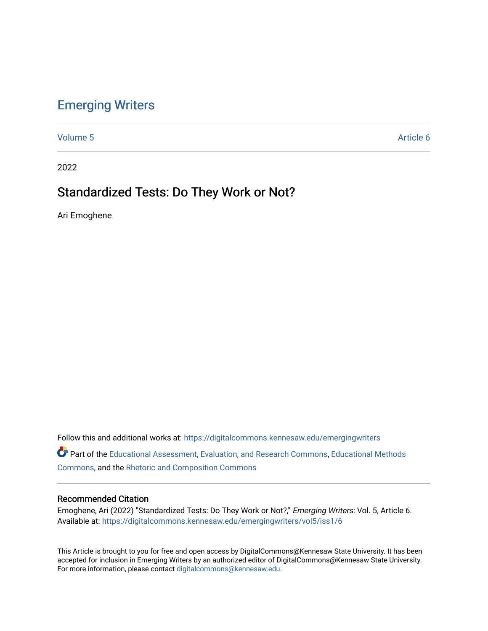## [Emerging Writers](https://digitalcommons.kennesaw.edu/emergingwriters)

[Volume 5](https://digitalcommons.kennesaw.edu/emergingwriters/vol5) Article 6

2022

# Standardized Tests: Do They Work or Not?

Ari Emoghene

Follow this and additional works at: [https://digitalcommons.kennesaw.edu/emergingwriters](https://digitalcommons.kennesaw.edu/emergingwriters?utm_source=digitalcommons.kennesaw.edu%2Femergingwriters%2Fvol5%2Fiss1%2F6&utm_medium=PDF&utm_campaign=PDFCoverPages) 

Part of the [Educational Assessment, Evaluation, and Research Commons](http://network.bepress.com/hgg/discipline/796?utm_source=digitalcommons.kennesaw.edu%2Femergingwriters%2Fvol5%2Fiss1%2F6&utm_medium=PDF&utm_campaign=PDFCoverPages), [Educational Methods](http://network.bepress.com/hgg/discipline/1227?utm_source=digitalcommons.kennesaw.edu%2Femergingwriters%2Fvol5%2Fiss1%2F6&utm_medium=PDF&utm_campaign=PDFCoverPages)  [Commons](http://network.bepress.com/hgg/discipline/1227?utm_source=digitalcommons.kennesaw.edu%2Femergingwriters%2Fvol5%2Fiss1%2F6&utm_medium=PDF&utm_campaign=PDFCoverPages), and the [Rhetoric and Composition Commons](http://network.bepress.com/hgg/discipline/573?utm_source=digitalcommons.kennesaw.edu%2Femergingwriters%2Fvol5%2Fiss1%2F6&utm_medium=PDF&utm_campaign=PDFCoverPages) 

### Recommended Citation

Emoghene, Ari (2022) "Standardized Tests: Do They Work or Not?," Emerging Writers: Vol. 5, Article 6. Available at: [https://digitalcommons.kennesaw.edu/emergingwriters/vol5/iss1/6](https://digitalcommons.kennesaw.edu/emergingwriters/vol5/iss1/6?utm_source=digitalcommons.kennesaw.edu%2Femergingwriters%2Fvol5%2Fiss1%2F6&utm_medium=PDF&utm_campaign=PDFCoverPages) 

This Article is brought to you for free and open access by DigitalCommons@Kennesaw State University. It has been accepted for inclusion in Emerging Writers by an authorized editor of DigitalCommons@Kennesaw State University. For more information, please contact [digitalcommons@kennesaw.edu.](mailto:digitalcommons@kennesaw.edu)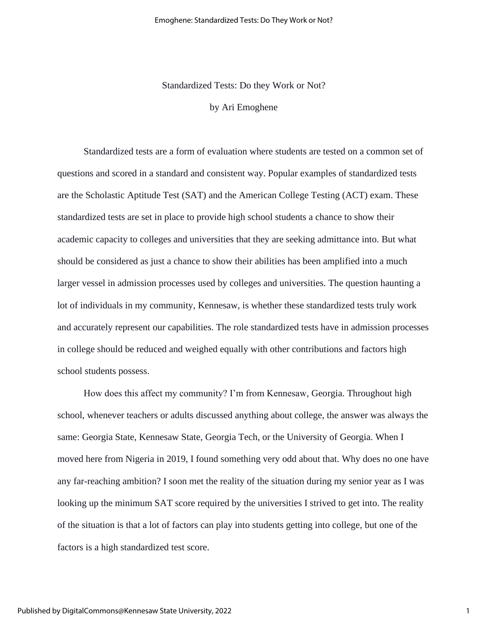Standardized Tests: Do they Work or Not?

by Ari Emoghene

Standardized tests are a form of evaluation where students are tested on a common set of questions and scored in a standard and consistent way. Popular examples of standardized tests are the Scholastic Aptitude Test (SAT) and the American College Testing (ACT) exam. These standardized tests are set in place to provide high school students a chance to show their academic capacity to colleges and universities that they are seeking admittance into. But what should be considered as just a chance to show their abilities has been amplified into a much larger vessel in admission processes used by colleges and universities. The question haunting a lot of individuals in my community, Kennesaw, is whether these standardized tests truly work and accurately represent our capabilities. The role standardized tests have in admission processes in college should be reduced and weighed equally with other contributions and factors high school students possess.

How does this affect my community? I'm from Kennesaw, Georgia. Throughout high school, whenever teachers or adults discussed anything about college, the answer was always the same: Georgia State, Kennesaw State, Georgia Tech, or the University of Georgia. When I moved here from Nigeria in 2019, I found something very odd about that. Why does no one have any far-reaching ambition? I soon met the reality of the situation during my senior year as I was looking up the minimum SAT score required by the universities I strived to get into. The reality of the situation is that a lot of factors can play into students getting into college, but one of the factors is a high standardized test score.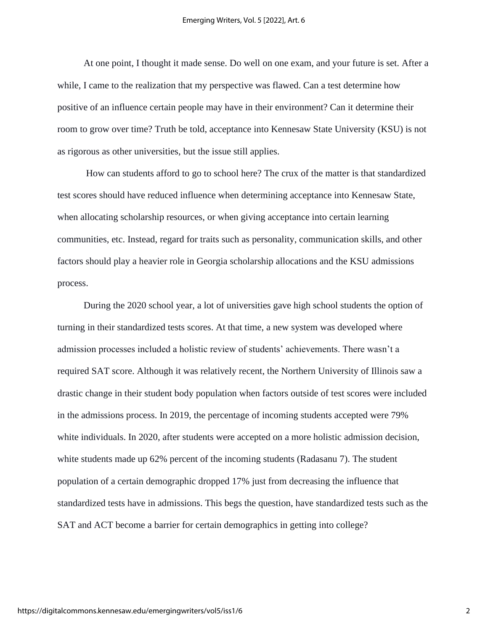At one point, I thought it made sense. Do well on one exam, and your future is set. After a while, I came to the realization that my perspective was flawed. Can a test determine how positive of an influence certain people may have in their environment? Can it determine their room to grow over time? Truth be told, acceptance into Kennesaw State University (KSU) is not as rigorous as other universities, but the issue still applies.

How can students afford to go to school here? The crux of the matter is that standardized test scores should have reduced influence when determining acceptance into Kennesaw State, when allocating scholarship resources, or when giving acceptance into certain learning communities, etc. Instead, regard for traits such as personality, communication skills, and other factors should play a heavier role in Georgia scholarship allocations and the KSU admissions process.

During the 2020 school year, a lot of universities gave high school students the option of turning in their standardized tests scores. At that time, a new system was developed where admission processes included a holistic review of students' achievements. There wasn't a required SAT score. Although it was relatively recent, the Northern University of Illinois saw a drastic change in their student body population when factors outside of test scores were included in the admissions process. In 2019, the percentage of incoming students accepted were 79% white individuals. In 2020, after students were accepted on a more holistic admission decision, white students made up 62% percent of the incoming students (Radasanu 7). The student population of a certain demographic dropped 17% just from decreasing the influence that standardized tests have in admissions. This begs the question, have standardized tests such as the SAT and ACT become a barrier for certain demographics in getting into college?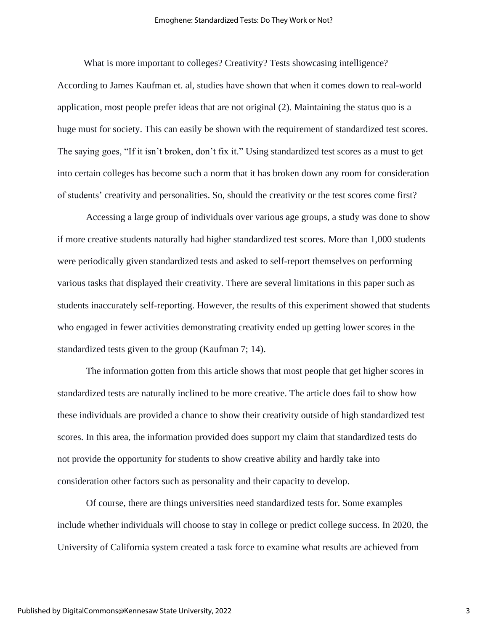#### Emoghene: Standardized Tests: Do They Work or Not?

What is more important to colleges? Creativity? Tests showcasing intelligence? According to James Kaufman et. al, studies have shown that when it comes down to real-world application, most people prefer ideas that are not original (2). Maintaining the status quo is a huge must for society. This can easily be shown with the requirement of standardized test scores. The saying goes, "If it isn't broken, don't fix it." Using standardized test scores as a must to get into certain colleges has become such a norm that it has broken down any room for consideration of students' creativity and personalities. So, should the creativity or the test scores come first?

Accessing a large group of individuals over various age groups, a study was done to show if more creative students naturally had higher standardized test scores. More than 1,000 students were periodically given standardized tests and asked to self-report themselves on performing various tasks that displayed their creativity. There are several limitations in this paper such as students inaccurately self-reporting. However, the results of this experiment showed that students who engaged in fewer activities demonstrating creativity ended up getting lower scores in the standardized tests given to the group (Kaufman 7; 14).

The information gotten from this article shows that most people that get higher scores in standardized tests are naturally inclined to be more creative. The article does fail to show how these individuals are provided a chance to show their creativity outside of high standardized test scores. In this area, the information provided does support my claim that standardized tests do not provide the opportunity for students to show creative ability and hardly take into consideration other factors such as personality and their capacity to develop.

Of course, there are things universities need standardized tests for. Some examples include whether individuals will choose to stay in college or predict college success. In 2020, the University of California system created a task force to examine what results are achieved from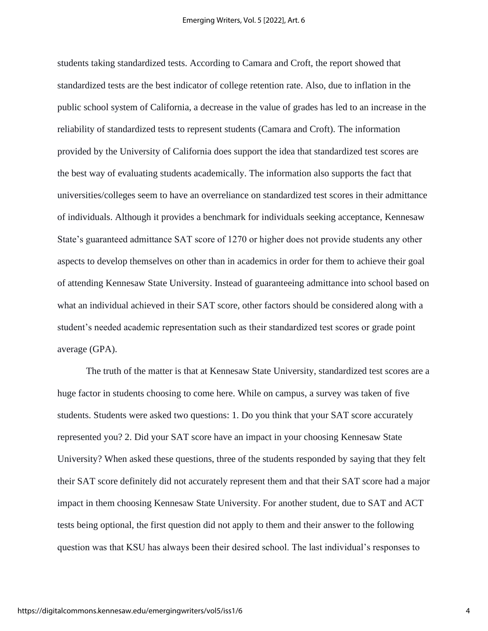students taking standardized tests. According to Camara and Croft, the report showed that standardized tests are the best indicator of college retention rate. Also, due to inflation in the public school system of California, a decrease in the value of grades has led to an increase in the reliability of standardized tests to represent students (Camara and Croft). The information provided by the University of California does support the idea that standardized test scores are the best way of evaluating students academically. The information also supports the fact that universities/colleges seem to have an overreliance on standardized test scores in their admittance of individuals. Although it provides a benchmark for individuals seeking acceptance, Kennesaw State's guaranteed admittance SAT score of 1270 or higher does not provide students any other aspects to develop themselves on other than in academics in order for them to achieve their goal of attending Kennesaw State University. Instead of guaranteeing admittance into school based on what an individual achieved in their SAT score, other factors should be considered along with a student's needed academic representation such as their standardized test scores or grade point average (GPA).

The truth of the matter is that at Kennesaw State University, standardized test scores are a huge factor in students choosing to come here. While on campus, a survey was taken of five students. Students were asked two questions: 1. Do you think that your SAT score accurately represented you? 2. Did your SAT score have an impact in your choosing Kennesaw State University? When asked these questions, three of the students responded by saying that they felt their SAT score definitely did not accurately represent them and that their SAT score had a major impact in them choosing Kennesaw State University. For another student, due to SAT and ACT tests being optional, the first question did not apply to them and their answer to the following question was that KSU has always been their desired school. The last individual's responses to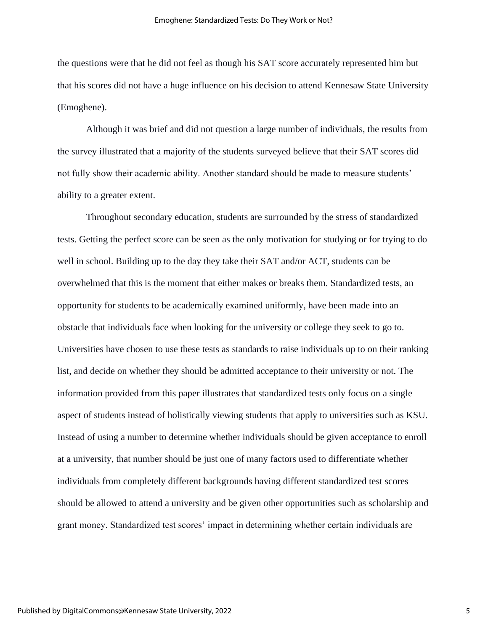the questions were that he did not feel as though his SAT score accurately represented him but that his scores did not have a huge influence on his decision to attend Kennesaw State University (Emoghene).

Although it was brief and did not question a large number of individuals, the results from the survey illustrated that a majority of the students surveyed believe that their SAT scores did not fully show their academic ability. Another standard should be made to measure students' ability to a greater extent.

Throughout secondary education, students are surrounded by the stress of standardized tests. Getting the perfect score can be seen as the only motivation for studying or for trying to do well in school. Building up to the day they take their SAT and/or ACT, students can be overwhelmed that this is the moment that either makes or breaks them. Standardized tests, an opportunity for students to be academically examined uniformly, have been made into an obstacle that individuals face when looking for the university or college they seek to go to. Universities have chosen to use these tests as standards to raise individuals up to on their ranking list, and decide on whether they should be admitted acceptance to their university or not. The information provided from this paper illustrates that standardized tests only focus on a single aspect of students instead of holistically viewing students that apply to universities such as KSU. Instead of using a number to determine whether individuals should be given acceptance to enroll at a university, that number should be just one of many factors used to differentiate whether individuals from completely different backgrounds having different standardized test scores should be allowed to attend a university and be given other opportunities such as scholarship and grant money. Standardized test scores' impact in determining whether certain individuals are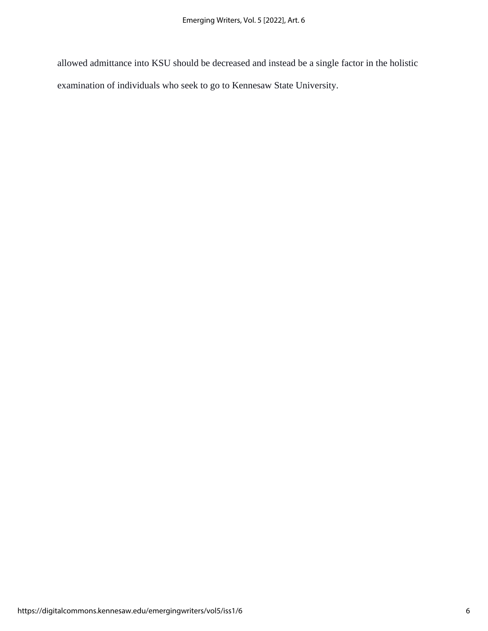allowed admittance into KSU should be decreased and instead be a single factor in the holistic examination of individuals who seek to go to Kennesaw State University.